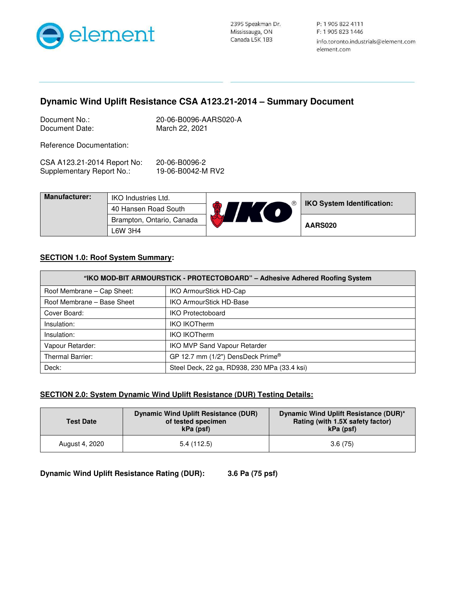

## **Dynamic Wind Uplift Resistance CSA A123.21-2014 – Summary Document**

| Document No.:  |  |
|----------------|--|
| Document Date: |  |

20-06-B0096-AARS020-A March 22, 2021

Reference Documentation:

| CSA A123.21-2014 Report No: | 20-06-B0096-2     |
|-----------------------------|-------------------|
| Supplementary Report No.:   | 19-06-B0042-M RV2 |

| <b>Manufacturer:</b> | IKO Industries Ltd.       | <b>IKO System Identification:</b> |
|----------------------|---------------------------|-----------------------------------|
|                      | 40 Hansen Road South      |                                   |
|                      | Brampton, Ontario, Canada | AARS020                           |
|                      | ∟6W 3H4                   |                                   |

## **SECTION 1.0: Roof System Summary:**

| "IKO MOD-BIT ARMOURSTICK - PROTECTOBOARD" - Adhesive Adhered Roofing System |                                              |  |
|-----------------------------------------------------------------------------|----------------------------------------------|--|
| Roof Membrane – Cap Sheet:                                                  | IKO ArmourStick HD-Cap                       |  |
| Roof Membrane - Base Sheet                                                  | <b>IKO ArmourStick HD-Base</b>               |  |
| Cover Board:                                                                | <b>IKO Protectoboard</b>                     |  |
| Insulation:                                                                 | <b>IKO IKOTherm</b>                          |  |
| Insulation:                                                                 | <b>IKO IKOTherm</b>                          |  |
| Vapour Retarder:                                                            | IKO MVP Sand Vapour Retarder                 |  |
| Thermal Barrier:                                                            | GP 12.7 mm (1/2") DensDeck Prime®            |  |
| Deck:                                                                       | Steel Deck, 22 ga, RD938, 230 MPa (33.4 ksi) |  |

## **SECTION 2.0: System Dynamic Wind Uplift Resistance (DUR) Testing Details:**

| <b>Test Date</b> | Dynamic Wind Uplift Resistance (DUR)<br>of tested specimen<br>kPa (psf) | Dynamic Wind Uplift Resistance (DUR)*<br>Rating (with 1.5X safety factor)<br>kPa (psf) |
|------------------|-------------------------------------------------------------------------|----------------------------------------------------------------------------------------|
| August 4, 2020   | 5.4(112.5)                                                              | 3.6(75)                                                                                |

**Dynamic Wind Uplift Resistance Rating (DUR): 3.6 Pa (75 psf)**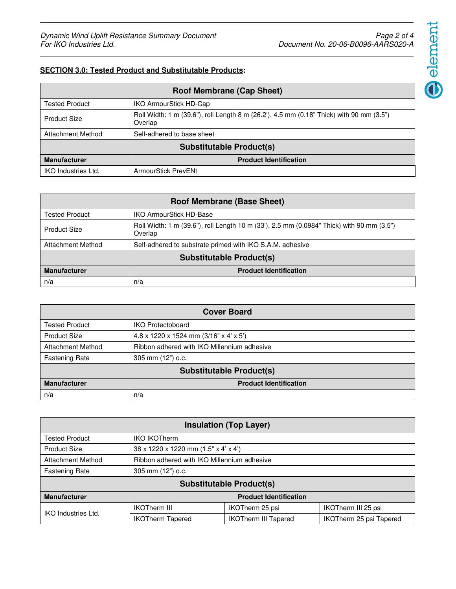## **SECTION 3.0: Tested Product and Substitutable Products:**

| <b>Roof Membrane (Cap Sheet)</b> |                                                                                                     |  |
|----------------------------------|-----------------------------------------------------------------------------------------------------|--|
| <b>Tested Product</b>            | <b>IKO ArmourStick HD-Cap</b>                                                                       |  |
| <b>Product Size</b>              | Roll Width: 1 m (39.6"), roll Length 8 m (26.2'), 4.5 mm (0.18" Thick) with 90 mm (3.5")<br>Overlap |  |
| <b>Attachment Method</b>         | Self-adhered to base sheet                                                                          |  |
| <b>Substitutable Product(s)</b>  |                                                                                                     |  |
| <b>Manufacturer</b>              | <b>Product Identification</b>                                                                       |  |
| <b>IKO Industries Ltd.</b>       | ArmourStick PrevENt                                                                                 |  |

| <b>Roof Membrane (Base Sheet)</b> |                                                                                                      |  |
|-----------------------------------|------------------------------------------------------------------------------------------------------|--|
| Tested Product                    | <b>IKO ArmourStick HD-Base</b>                                                                       |  |
| <b>Product Size</b>               | Roll Width: 1 m (39.6"), roll Length 10 m (33'), 2.5 mm (0.0984" Thick) with 90 mm (3.5")<br>Overlap |  |
| <b>Attachment Method</b>          | Self-adhered to substrate primed with IKO S.A.M. adhesive                                            |  |
| <b>Substitutable Product(s)</b>   |                                                                                                      |  |
| <b>Manufacturer</b>               | <b>Product Identification</b>                                                                        |  |
| n/a                               | n/a                                                                                                  |  |

| <b>Cover Board</b>              |                                             |  |
|---------------------------------|---------------------------------------------|--|
| <b>Tested Product</b>           | <b>IKO Protectoboard</b>                    |  |
| <b>Product Size</b>             | 4.8 x 1220 x 1524 mm (3/16" x 4' x 5')      |  |
| <b>Attachment Method</b>        | Ribbon adhered with IKO Millennium adhesive |  |
| <b>Fastening Rate</b>           | 305 mm (12") o.c.                           |  |
| <b>Substitutable Product(s)</b> |                                             |  |
| <b>Manufacturer</b>             | <b>Product Identification</b>               |  |
| n/a                             | n/a                                         |  |

| <b>Insulation (Top Layer)</b>   |                                             |                             |                         |
|---------------------------------|---------------------------------------------|-----------------------------|-------------------------|
| <b>Tested Product</b>           | <b>IKO IKOTherm</b>                         |                             |                         |
| <b>Product Size</b>             | 38 x 1220 x 1220 mm (1.5" x 4' x 4')        |                             |                         |
| <b>Attachment Method</b>        | Ribbon adhered with IKO Millennium adhesive |                             |                         |
| <b>Fastening Rate</b>           | 305 mm (12") o.c.                           |                             |                         |
| <b>Substitutable Product(s)</b> |                                             |                             |                         |
| <b>Manufacturer</b>             | <b>Product Identification</b>               |                             |                         |
|                                 | <b>IKOTherm III</b>                         | IKOTherm 25 psi             | IKOTherm III 25 psi     |
| IKO Industries Ltd.             | <b>IKOTherm Tapered</b>                     | <b>IKOTherm III Tapered</b> | IKOTherm 25 psi Tapered |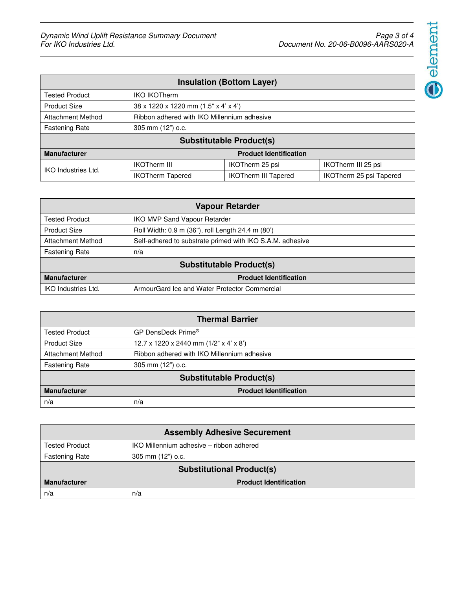

| <b>Insulation (Bottom Layer)</b> |                                             |                                      |                         |  |
|----------------------------------|---------------------------------------------|--------------------------------------|-------------------------|--|
| <b>Tested Product</b>            | <b>IKO IKOTherm</b>                         |                                      |                         |  |
| <b>Product Size</b>              |                                             | 38 x 1220 x 1220 mm (1.5" x 4' x 4') |                         |  |
| <b>Attachment Method</b>         | Ribbon adhered with IKO Millennium adhesive |                                      |                         |  |
| <b>Fastening Rate</b>            | 305 mm (12") o.c.                           |                                      |                         |  |
| <b>Substitutable Product(s)</b>  |                                             |                                      |                         |  |
| <b>Manufacturer</b>              | <b>Product Identification</b>               |                                      |                         |  |
| IKO Industries Ltd.              | <b>IKOTherm III</b>                         | IKOTherm 25 psi                      | IKOTherm III 25 psi     |  |
|                                  | <b>IKOTherm Tapered</b>                     | <b>IKOTherm III Tapered</b>          | IKOTherm 25 psi Tapered |  |

| <b>Vapour Retarder</b>          |                                                           |  |
|---------------------------------|-----------------------------------------------------------|--|
| <b>Tested Product</b>           | <b>IKO MVP Sand Vapour Retarder</b>                       |  |
| <b>Product Size</b>             | Roll Width: 0.9 m (36"), roll Length 24.4 m (80')         |  |
| <b>Attachment Method</b>        | Self-adhered to substrate primed with IKO S.A.M. adhesive |  |
| <b>Fastening Rate</b>           | n/a                                                       |  |
| <b>Substitutable Product(s)</b> |                                                           |  |
| <b>Manufacturer</b>             | <b>Product Identification</b>                             |  |
| IKO Industries Ltd.             | ArmourGard Ice and Water Protector Commercial             |  |

| <b>Thermal Barrier</b>          |                                             |  |
|---------------------------------|---------------------------------------------|--|
| <b>Tested Product</b>           | GP DensDeck Prime®                          |  |
| <b>Product Size</b>             | 12.7 x 1220 x 2440 mm $(1/2"$ x 4' x 8')    |  |
| <b>Attachment Method</b>        | Ribbon adhered with IKO Millennium adhesive |  |
| <b>Fastening Rate</b>           | 305 mm (12") o.c.                           |  |
| <b>Substitutable Product(s)</b> |                                             |  |
| <b>Manufacturer</b>             | <b>Product Identification</b>               |  |
| n/a                             | n/a                                         |  |

| <b>Assembly Adhesive Securement</b> |                                          |
|-------------------------------------|------------------------------------------|
| <b>Tested Product</b>               | IKO Millennium adhesive – ribbon adhered |
| <b>Fastening Rate</b>               | 305 mm (12") o.c.                        |
| <b>Substitutional Product(s)</b>    |                                          |
| <b>Manufacturer</b>                 | <b>Product Identification</b>            |
| n/a                                 | n/a                                      |